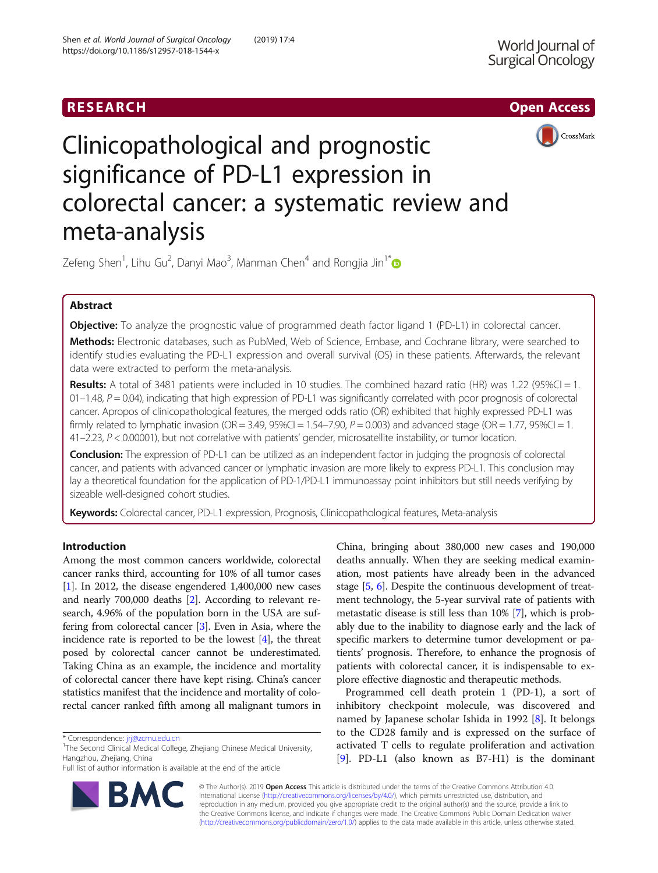



# Clinicopathological and prognostic significance of PD-L1 expression in colorectal cancer: a systematic review and meta-analysis

Zefeng Shen<sup>1</sup>, Lihu Gu<sup>2</sup>, Danyi Mao<sup>3</sup>, Manman Chen<sup>4</sup> and Rongjia Jin<sup>1[\\*](http://orcid.org/0000-0003-2884-4259)</sup>

# Abstract

**Objective:** To analyze the prognostic value of programmed death factor ligand 1 (PD-L1) in colorectal cancer.

Methods: Electronic databases, such as PubMed, Web of Science, Embase, and Cochrane library, were searched to identify studies evaluating the PD-L1 expression and overall survival (OS) in these patients. Afterwards, the relevant data were extracted to perform the meta-analysis.

Results: A total of 3481 patients were included in 10 studies. The combined hazard ratio (HR) was 1.22 (95%CI = 1.  $01-1.48$ ,  $P = 0.04$ ), indicating that high expression of PD-L1 was significantly correlated with poor prognosis of colorectal cancer. Apropos of clinicopathological features, the merged odds ratio (OR) exhibited that highly expressed PD-L1 was firmly related to lymphatic invasion (OR = 3.49, 95%CI = 1.54–7.90,  $P = 0.003$ ) and advanced stage (OR = 1.77, 95%CI = 1. 41–2.23, P < 0.00001), but not correlative with patients' gender, microsatellite instability, or tumor location.

**Conclusion:** The expression of PD-L1 can be utilized as an independent factor in judging the prognosis of colorectal cancer, and patients with advanced cancer or lymphatic invasion are more likely to express PD-L1. This conclusion may lay a theoretical foundation for the application of PD-1/PD-L1 immunoassay point inhibitors but still needs verifying by sizeable well-designed cohort studies.

Keywords: Colorectal cancer, PD-L1 expression, Prognosis, Clinicopathological features, Meta-analysis

# Introduction

Among the most common cancers worldwide, colorectal cancer ranks third, accounting for 10% of all tumor cases [[1\]](#page-7-0). In 2012, the disease engendered 1,400,000 new cases and nearly 700,000 deaths [[2](#page-7-0)]. According to relevant research, 4.96% of the population born in the USA are suffering from colorectal cancer [[3](#page-7-0)]. Even in Asia, where the incidence rate is reported to be the lowest  $[4]$ , the threat posed by colorectal cancer cannot be underestimated. Taking China as an example, the incidence and mortality of colorectal cancer there have kept rising. China's cancer statistics manifest that the incidence and mortality of colorectal cancer ranked fifth among all malignant tumors in

Full list of author information is available at the end of the article



China, bringing about 380,000 new cases and 190,000 deaths annually. When they are seeking medical examination, most patients have already been in the advanced stage [\[5,](#page-7-0) [6\]](#page-7-0). Despite the continuous development of treatment technology, the 5-year survival rate of patients with metastatic disease is still less than 10% [\[7\]](#page-7-0), which is probably due to the inability to diagnose early and the lack of specific markers to determine tumor development or patients' prognosis. Therefore, to enhance the prognosis of patients with colorectal cancer, it is indispensable to explore effective diagnostic and therapeutic methods.

Programmed cell death protein 1 (PD-1), a sort of inhibitory checkpoint molecule, was discovered and named by Japanese scholar Ishida in 1992 [\[8](#page-7-0)]. It belongs to the CD28 family and is expressed on the surface of activated T cells to regulate proliferation and activation [[9\]](#page-7-0). PD-L1 (also known as B7-H1) is the dominant

© The Author(s). 2019 Open Access This article is distributed under the terms of the Creative Commons Attribution 4.0 International License [\(http://creativecommons.org/licenses/by/4.0/](http://creativecommons.org/licenses/by/4.0/)), which permits unrestricted use, distribution, and reproduction in any medium, provided you give appropriate credit to the original author(s) and the source, provide a link to the Creative Commons license, and indicate if changes were made. The Creative Commons Public Domain Dedication waiver [\(http://creativecommons.org/publicdomain/zero/1.0/](http://creativecommons.org/publicdomain/zero/1.0/)) applies to the data made available in this article, unless otherwise stated.

<sup>\*</sup> Correspondence: [jrj@zcmu.edu.cn](mailto:jrj@zcmu.edu.cn) <sup>1</sup>

<sup>&</sup>lt;sup>1</sup>The Second Clinical Medical College, Zhejiang Chinese Medical University, Hangzhou, Zhejiang, China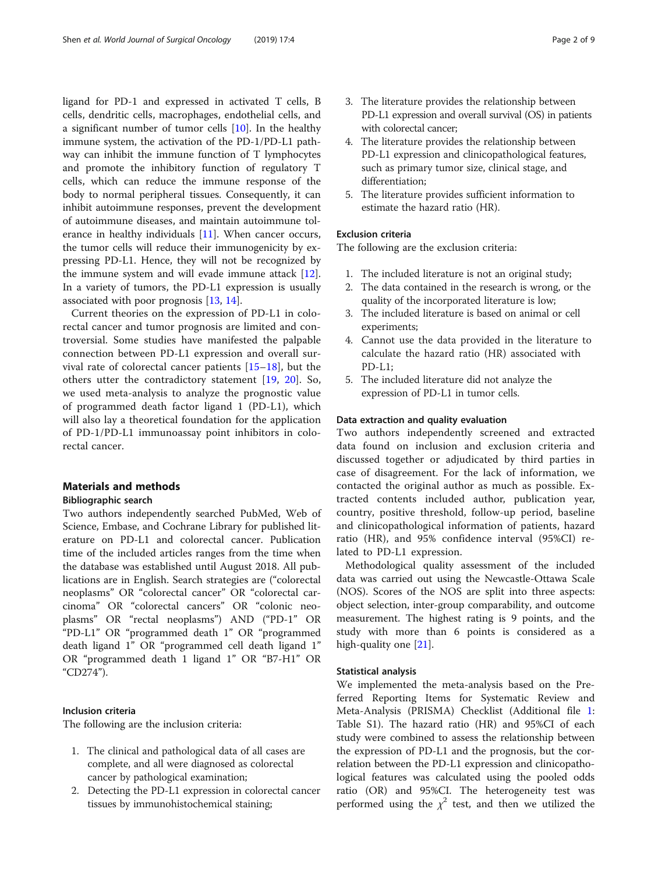ligand for PD-1 and expressed in activated T cells, B cells, dendritic cells, macrophages, endothelial cells, and a significant number of tumor cells [[10](#page-7-0)]. In the healthy immune system, the activation of the PD-1/PD-L1 pathway can inhibit the immune function of T lymphocytes and promote the inhibitory function of regulatory T cells, which can reduce the immune response of the body to normal peripheral tissues. Consequently, it can inhibit autoimmune responses, prevent the development of autoimmune diseases, and maintain autoimmune tolerance in healthy individuals [\[11](#page-7-0)]. When cancer occurs, the tumor cells will reduce their immunogenicity by expressing PD-L1. Hence, they will not be recognized by the immune system and will evade immune attack [\[12](#page-7-0)]. In a variety of tumors, the PD-L1 expression is usually associated with poor prognosis [\[13](#page-7-0), [14](#page-7-0)].

Current theories on the expression of PD-L1 in colorectal cancer and tumor prognosis are limited and controversial. Some studies have manifested the palpable connection between PD-L1 expression and overall survival rate of colorectal cancer patients [[15](#page-7-0)–[18](#page-7-0)], but the others utter the contradictory statement [[19,](#page-8-0) [20\]](#page-8-0). So, we used meta-analysis to analyze the prognostic value of programmed death factor ligand 1 (PD-L1), which will also lay a theoretical foundation for the application of PD-1/PD-L1 immunoassay point inhibitors in colorectal cancer.

# Materials and methods

# Bibliographic search

Two authors independently searched PubMed, Web of Science, Embase, and Cochrane Library for published literature on PD-L1 and colorectal cancer. Publication time of the included articles ranges from the time when the database was established until August 2018. All publications are in English. Search strategies are ("colorectal neoplasms" OR "colorectal cancer" OR "colorectal carcinoma" OR "colorectal cancers" OR "colonic neoplasms" OR "rectal neoplasms") AND ("PD-1" OR "PD-L1" OR "programmed death 1" OR "programmed death ligand 1" OR "programmed cell death ligand 1" OR "programmed death 1 ligand 1" OR "B7-H1" OR "CD274").

# Inclusion criteria

The following are the inclusion criteria:

- 1. The clinical and pathological data of all cases are complete, and all were diagnosed as colorectal cancer by pathological examination;
- 2. Detecting the PD-L1 expression in colorectal cancer tissues by immunohistochemical staining;
- 3. The literature provides the relationship between PD-L1 expression and overall survival (OS) in patients with colorectal cancer;
- 4. The literature provides the relationship between PD-L1 expression and clinicopathological features, such as primary tumor size, clinical stage, and differentiation;
- 5. The literature provides sufficient information to estimate the hazard ratio (HR).

# Exclusion criteria

The following are the exclusion criteria:

- 1. The included literature is not an original study;
- 2. The data contained in the research is wrong, or the quality of the incorporated literature is low;
- 3. The included literature is based on animal or cell experiments;
- 4. Cannot use the data provided in the literature to calculate the hazard ratio (HR) associated with  $PD-I.1$ :
- 5. The included literature did not analyze the expression of PD-L1 in tumor cells.

# Data extraction and quality evaluation

Two authors independently screened and extracted data found on inclusion and exclusion criteria and discussed together or adjudicated by third parties in case of disagreement. For the lack of information, we contacted the original author as much as possible. Extracted contents included author, publication year, country, positive threshold, follow-up period, baseline and clinicopathological information of patients, hazard ratio (HR), and 95% confidence interval (95%CI) related to PD-L1 expression.

Methodological quality assessment of the included data was carried out using the Newcastle-Ottawa Scale (NOS). Scores of the NOS are split into three aspects: object selection, inter-group comparability, and outcome measurement. The highest rating is 9 points, and the study with more than 6 points is considered as a high-quality one [[21\]](#page-8-0).

## Statistical analysis

We implemented the meta-analysis based on the Preferred Reporting Items for Systematic Review and Meta-Analysis (PRISMA) Checklist (Additional file [1](#page-7-0): Table S1). The hazard ratio (HR) and 95%CI of each study were combined to assess the relationship between the expression of PD-L1 and the prognosis, but the correlation between the PD-L1 expression and clinicopathological features was calculated using the pooled odds ratio (OR) and 95%CI. The heterogeneity test was performed using the  $\chi^2$  test, and then we utilized the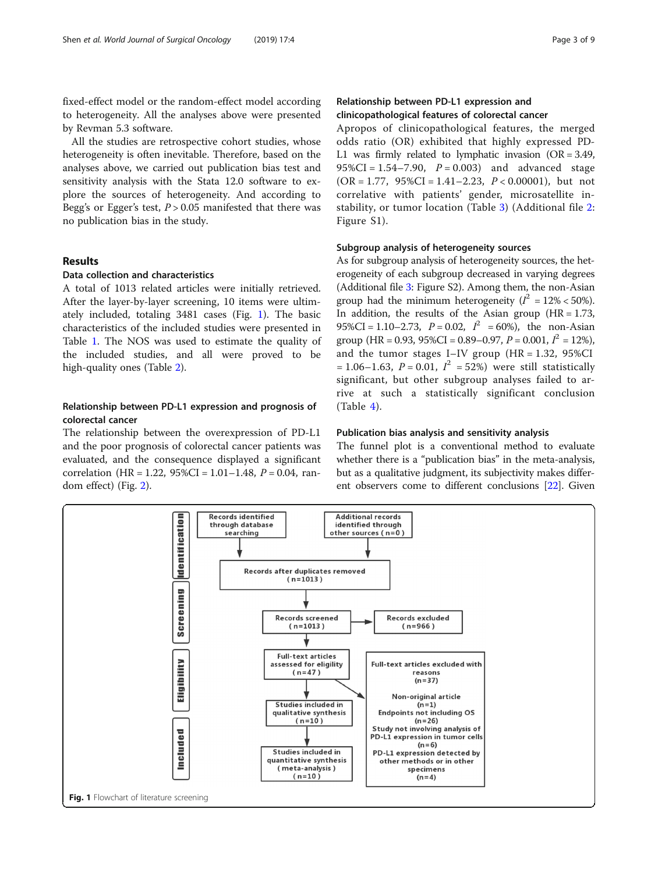fixed-effect model or the random-effect model according to heterogeneity. All the analyses above were presented by Revman 5.3 software.

All the studies are retrospective cohort studies, whose heterogeneity is often inevitable. Therefore, based on the analyses above, we carried out publication bias test and sensitivity analysis with the Stata 12.0 software to explore the sources of heterogeneity. And according to Begg's or Egger's test,  $P > 0.05$  manifested that there was no publication bias in the study.

# Results

# Data collection and characteristics

A total of 1013 related articles were initially retrieved. After the layer-by-layer screening, 10 items were ultimately included, totaling 3481 cases (Fig. 1). The basic characteristics of the included studies were presented in Table [1](#page-3-0). The NOS was used to estimate the quality of the included studies, and all were proved to be high-quality ones (Table [2\)](#page-4-0).

# Relationship between PD-L1 expression and prognosis of colorectal cancer

The relationship between the overexpression of PD-L1 and the poor prognosis of colorectal cancer patients was evaluated, and the consequence displayed a significant correlation (HR = 1.22,  $95\%CI = 1.01 - 1.48$ ,  $P = 0.04$ , random effect) (Fig. [2\)](#page-4-0).

Apropos of clinicopathological features, the merged odds ratio (OR) exhibited that highly expressed PD-L1 was firmly related to lymphatic invasion (OR = 3.49, 95%CI =  $1.54 - 7.90$ ,  $P = 0.003$ ) and advanced stage  $(OR = 1.77, 95\% CI = 1.41 - 2.23, P < 0.00001)$ , but not correlative with patients' gender, microsatellite instability, or tumor location (Table [3](#page-5-0)) (Additional file [2](#page-7-0): Figure S1).

# Subgroup analysis of heterogeneity sources

As for subgroup analysis of heterogeneity sources, the heterogeneity of each subgroup decreased in varying degrees (Additional file [3](#page-7-0): Figure S2). Among them, the non-Asian group had the minimum heterogeneity ( $I^2 = 12\% < 50\%$ ). In addition, the results of the Asian group  $(HR = 1.73,$ 95%CI = 1.10–2.73,  $P = 0.02$ ,  $I^2 = 60$ %), the non-Asian group (HR = 0.93, 95%CI = 0.89–0.97,  $P = 0.001$ ,  $I^2 = 12$ %), and the tumor stages I–IV group  $(HR = 1.32, 95\% CI)$  $= 1.06 - 1.63$ ,  $P = 0.01$ ,  $I^2 = 52%$  were still statistically significant, but other subgroup analyses failed to arrive at such a statistically significant conclusion  $(Table 4)$  $(Table 4)$  $(Table 4)$ .

#### Publication bias analysis and sensitivity analysis

The funnel plot is a conventional method to evaluate whether there is a "publication bias" in the meta-analysis, but as a qualitative judgment, its subjectivity makes different observers come to different conclusions [[22](#page-8-0)]. Given

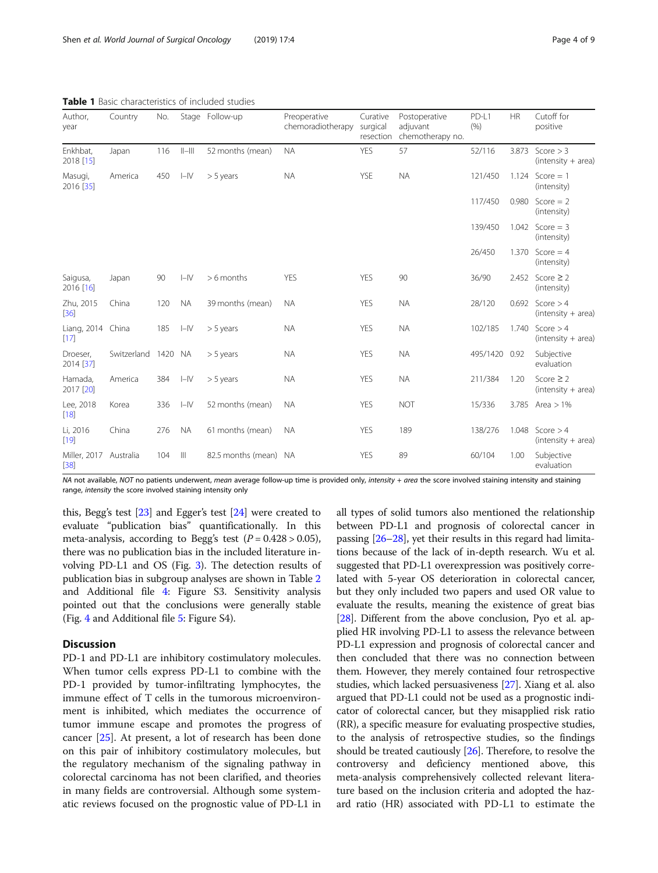| Author,<br>year             | Country     | No.  |           | Stage Follow-up    | Preoperative<br>chemoradiotherapy | Curative<br>surgical<br>resection | Postoperative<br>adjuvant<br>chemotherapy no. | PD-L1<br>(% ) | <b>HR</b> | Cutoff for<br>positive                 |
|-----------------------------|-------------|------|-----------|--------------------|-----------------------------------|-----------------------------------|-----------------------------------------------|---------------|-----------|----------------------------------------|
| Enkhbat,<br>2018 [15]       | Japan       | 116  | $  -   $  | 52 months (mean)   | <b>NA</b>                         | <b>YES</b>                        | 57                                            | 52/116        | 3.873     | Score $>$ 3<br>$(intensity + area)$    |
| Masugi,<br>2016 [35]        | America     | 450  | $I - IV$  | $> 5$ years        | <b>NA</b>                         | <b>YSE</b>                        | <b>NA</b>                                     | 121/450       |           | 1.124 $Score = 1$<br>(intensity)       |
|                             |             |      |           |                    |                                   |                                   |                                               | 117/450       | 0.980     | Score $= 2$<br>(intensity)             |
|                             |             |      |           |                    |                                   |                                   |                                               | 139/450       | 1.042     | Score $=$ 3<br>(intensity)             |
|                             |             |      |           |                    |                                   |                                   |                                               | 26/450        | 1.370     | Score $= 4$<br>(intensity)             |
| Saigusa,<br>2016 [16]       | Japan       | 90   | $I=IV$    | $> 6$ months       | <b>YES</b>                        | <b>YES</b>                        | 90                                            | 36/90         |           | 2.452 Score $\geq$ 2<br>(intensity)    |
| Zhu, 2015<br>$[36]$         | China       | 120  | <b>NA</b> | 39 months (mean)   | <b>NA</b>                         | YES                               | <b>NA</b>                                     | 28/120        | 0.692     | Score $>4$<br>$(intensity + area)$     |
| Liang, 2014 China<br>$[17]$ |             | 185  | $I - IV$  | $> 5$ years        | <b>NA</b>                         | <b>YES</b>                        | <b>NA</b>                                     | 102/185       | 1.740     | Score $>4$<br>$(intensity + area)$     |
| Droeser,<br>2014 [37]       | Switzerland | 1420 | NA.       | $> 5$ years        | <b>NA</b>                         | <b>YES</b>                        | <b>NA</b>                                     | 495/1420 0.92 |           | Subjective<br>evaluation               |
| Hamada,<br>2017 [20]        | America     | 384  | $I - IV$  | $> 5$ years        | <b>NA</b>                         | <b>YES</b>                        | <b>NA</b>                                     | 211/384       | 1.20      | Score $\geq$ 2<br>$(intensity + area)$ |
| Lee, 2018<br>$[18]$         | Korea       | 336  | $I - IV$  | 52 months (mean)   | <b>NA</b>                         | <b>YES</b>                        | <b>NOT</b>                                    | 15/336        |           | 3.785 Area $> 1\%$                     |
| Li, 2016<br>[19]            | China       | 276  | <b>NA</b> | 61 months (mean)   | <b>NA</b>                         | <b>YES</b>                        | 189                                           | 138/276       | 1.048     | Score $>4$<br>$(intensity + area)$     |
| Miller, 2017<br>$[38]$      | Australia   | 104  | Ш         | 82.5 months (mean) | <b>NA</b>                         | <b>YES</b>                        | 89                                            | 60/104        | 1.00      | Subjective<br>evaluation               |

<span id="page-3-0"></span>Table 1 Basic characteristics of included studies

NA not available, NOT no patients underwent, mean average follow-up time is provided only, intensity + area the score involved staining intensity and staining range, intensity the score involved staining intensity only

this, Begg's test [\[23\]](#page-8-0) and Egger's test [\[24\]](#page-8-0) were created to evaluate "publication bias" quantificationally. In this meta-analysis, according to Begg's test  $(P = 0.428 > 0.05)$ , there was no publication bias in the included literature involving PD-L1 and OS (Fig. [3\)](#page-6-0). The detection results of publication bias in subgroup analyses are shown in Table [2](#page-4-0) and Additional file [4:](#page-7-0) Figure S3. Sensitivity analysis pointed out that the conclusions were generally stable (Fig. [4](#page-6-0) and Additional file [5:](#page-7-0) Figure S4).

# **Discussion**

PD-1 and PD-L1 are inhibitory costimulatory molecules. When tumor cells express PD-L1 to combine with the PD-1 provided by tumor-infiltrating lymphocytes, the immune effect of T cells in the tumorous microenvironment is inhibited, which mediates the occurrence of tumor immune escape and promotes the progress of cancer [\[25](#page-8-0)]. At present, a lot of research has been done on this pair of inhibitory costimulatory molecules, but the regulatory mechanism of the signaling pathway in colorectal carcinoma has not been clarified, and theories in many fields are controversial. Although some systematic reviews focused on the prognostic value of PD-L1 in all types of solid tumors also mentioned the relationship between PD-L1 and prognosis of colorectal cancer in passing [\[26](#page-8-0)–[28](#page-8-0)], yet their results in this regard had limitations because of the lack of in-depth research. Wu et al. suggested that PD-L1 overexpression was positively correlated with 5-year OS deterioration in colorectal cancer, but they only included two papers and used OR value to evaluate the results, meaning the existence of great bias [[28](#page-8-0)]. Different from the above conclusion, Pyo et al. applied HR involving PD-L1 to assess the relevance between PD-L1 expression and prognosis of colorectal cancer and then concluded that there was no connection between them. However, they merely contained four retrospective studies, which lacked persuasiveness [[27\]](#page-8-0). Xiang et al. also argued that PD-L1 could not be used as a prognostic indicator of colorectal cancer, but they misapplied risk ratio (RR), a specific measure for evaluating prospective studies, to the analysis of retrospective studies, so the findings should be treated cautiously [[26](#page-8-0)]. Therefore, to resolve the controversy and deficiency mentioned above, this meta-analysis comprehensively collected relevant literature based on the inclusion criteria and adopted the hazard ratio (HR) associated with PD-L1 to estimate the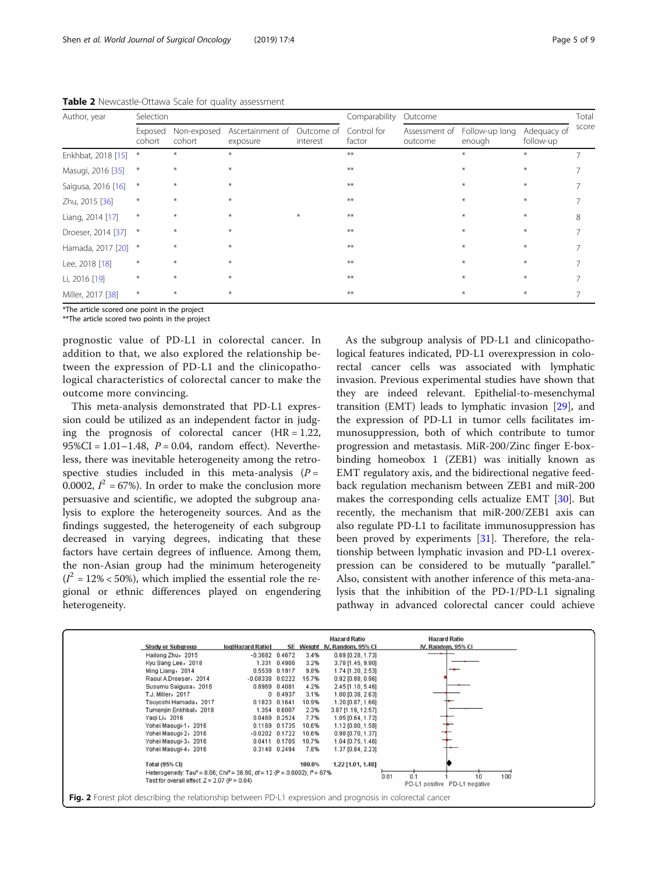| Author, year        | Selection         |                       |                              |                        | Comparability         | Outcome                  |                          |                          |       |
|---------------------|-------------------|-----------------------|------------------------------|------------------------|-----------------------|--------------------------|--------------------------|--------------------------|-------|
|                     | Exposed<br>cohort | Non-exposed<br>cohort | Ascertainment of<br>exposure | Outcome of<br>interest | Control for<br>factor | Assessment of<br>outcome | Follow-up long<br>enough | Adequacy of<br>follow-up | score |
| Enkhbat, 2018 [15]  | $*$               | ⋇                     | $\ast$                       |                        | $***$                 |                          | $\ast$                   | $*$                      |       |
| Masugi, 2016 [35]   | $\ast$            | $\ast$                | $\ast$                       |                        | $***$                 |                          | $\ast$                   | $\ast$                   |       |
| Saigusa, 2016 [16]  | $*$               | $\ast$                | $*$                          |                        | $***$                 |                          | $\ast$                   | $\ast$                   |       |
| Zhu, 2015 [36]      | $\ast$            | $*$                   | $*$                          |                        | $***$                 |                          | $\ast$                   | $\ast$                   |       |
| Liang, 2014 [17]    | $\ast$            | ⋇                     | $*$                          | $*$                    | $***$                 |                          | $\ast$                   | $*$                      | 8     |
| Droeser, 2014 [37]  | $*$               | $\ast$                | $\ast$                       |                        | $***$                 |                          | $\ast$                   | $*$                      |       |
| Hamada, 2017 [20] * |                   | $\ast$                | $*$                          |                        | $***$                 |                          | $\ast$                   | $\ast$                   |       |
| Lee, 2018 [18]      | $\ast$            | $*$                   | $*$                          |                        | $***$                 |                          | $\ast$                   | $\ast$                   |       |
| Li, 2016 [19]       | $\ast$            | $*$                   | $*$                          |                        | $***$                 |                          | $\ast$                   | $\ast$                   |       |
| Miller, 2017 [38]   | $\ast$            |                       | $\ast$                       |                        | $***$                 |                          | $\ast$                   | $\ast$                   |       |

<span id="page-4-0"></span>Table 2 Newcastle-Ottawa Scale for quality assessment

\*The article scored one point in the project

\*\*The article scored two points in the project

prognostic value of PD-L1 in colorectal cancer. In addition to that, we also explored the relationship between the expression of PD-L1 and the clinicopathological characteristics of colorectal cancer to make the outcome more convincing.

This meta-analysis demonstrated that PD-L1 expression could be utilized as an independent factor in judging the prognosis of colorectal cancer  $(HR = 1.22)$ , 95%CI =  $1.01 - 1.48$ ,  $P = 0.04$ , random effect). Nevertheless, there was inevitable heterogeneity among the retrospective studies included in this meta-analysis  $(P =$ 0.0002,  $I^2$  = 67%). In order to make the conclusion more persuasive and scientific, we adopted the subgroup analysis to explore the heterogeneity sources. And as the findings suggested, the heterogeneity of each subgroup decreased in varying degrees, indicating that these factors have certain degrees of influence. Among them, the non-Asian group had the minimum heterogeneity  $(I^2 = 12\% < 50\%)$ , which implied the essential role the regional or ethnic differences played on engendering heterogeneity.

As the subgroup analysis of PD-L1 and clinicopathological features indicated, PD-L1 overexpression in colorectal cancer cells was associated with lymphatic invasion. Previous experimental studies have shown that they are indeed relevant. Epithelial-to-mesenchymal transition (EMT) leads to lymphatic invasion [[29\]](#page-8-0), and the expression of PD-L1 in tumor cells facilitates immunosuppression, both of which contribute to tumor progression and metastasis. MiR-200/Zinc finger E-boxbinding homeobox 1 (ZEB1) was initially known as EMT regulatory axis, and the bidirectional negative feedback regulation mechanism between ZEB1 and miR-200 makes the corresponding cells actualize EMT [[30\]](#page-8-0). But recently, the mechanism that miR-200/ZEB1 axis can also regulate PD-L1 to facilitate immunosuppression has been proved by experiments [[31\]](#page-8-0). Therefore, the relationship between lymphatic invasion and PD-L1 overexpression can be considered to be mutually "parallel." Also, consistent with another inference of this meta-analysis that the inhibition of the PD-1/PD-L1 signaling pathway in advanced colorectal cancer could achieve

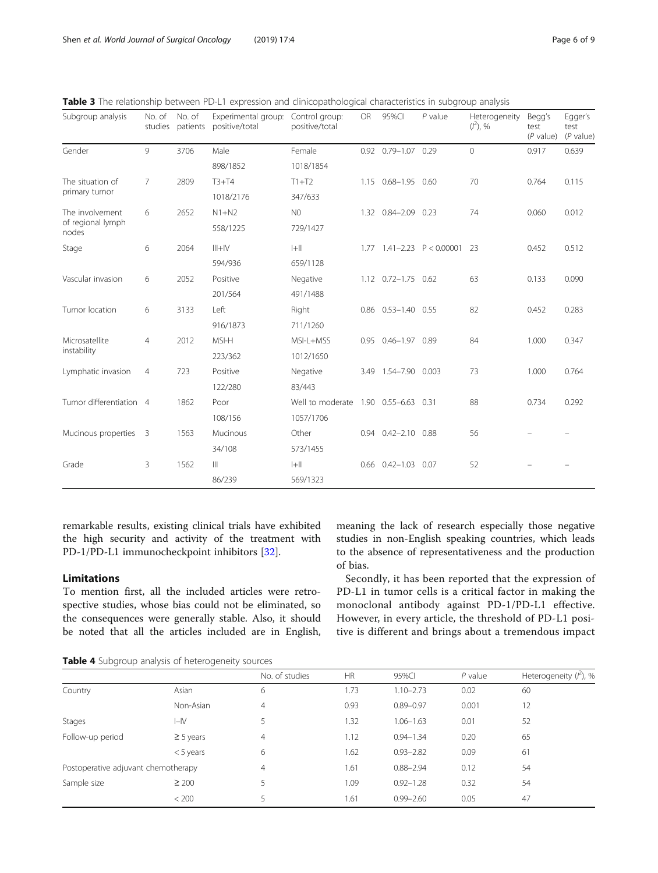| Subgroup analysis                 | No. of<br>studies       | No. of<br>patients | Experimental group:<br>positive/total | Control group:<br>positive/total     | <b>OR</b>           | 95%CI                | $P$ value                        | Heterogeneity<br>$(l^2)$ , % | Begg's<br>test<br>$(P$ value) | Egger's<br>test<br>$(P$ value) |
|-----------------------------------|-------------------------|--------------------|---------------------------------------|--------------------------------------|---------------------|----------------------|----------------------------------|------------------------------|-------------------------------|--------------------------------|
| Gender                            | 9                       | 3706               | Male                                  | Female                               |                     | 0.92 0.79-1.07 0.29  |                                  | $\Omega$                     | 0.917                         | 0.639                          |
|                                   |                         |                    | 898/1852                              | 1018/1854                            |                     |                      |                                  |                              |                               |                                |
| The situation of<br>primary tumor | 7                       | 2809               | $T3+T4$                               | $T1+T2$                              |                     | 1.15 0.68-1.95 0.60  |                                  | 70                           | 0.764                         | 0.115                          |
|                                   |                         |                    | 1018/2176                             | 347/633                              |                     |                      |                                  |                              |                               |                                |
| The involvement                   | 6                       | 2652               | $N1+N2$                               | N <sub>0</sub>                       |                     | 1.32 0.84-2.09 0.23  |                                  | 74                           | 0.060                         | 0.012                          |
| of regional lymph<br>nodes        |                         |                    | 558/1225                              | 729/1427                             |                     |                      |                                  |                              |                               |                                |
| Stage                             | 6                       | 2064               | $III + IV$                            | $ +  $                               |                     |                      | 1.77 $1.41 - 2.23$ $P < 0.00001$ | 23                           | 0.452                         | 0.512                          |
|                                   |                         |                    | 594/936                               | 659/1128                             |                     |                      |                                  |                              |                               |                                |
| Vascular invasion                 | 6                       | 2052               | Positive                              | Negative                             |                     | 1.12 0.72-1.75 0.62  |                                  | 63                           | 0.133                         | 0.090                          |
|                                   |                         |                    | 201/564                               | 491/1488                             |                     |                      |                                  |                              |                               |                                |
| Tumor location                    | 6                       | 3133               | Left                                  | Right                                |                     | 0.86 0.53-1.40 0.55  |                                  | 82                           | 0.452                         | 0.283                          |
|                                   |                         |                    | 916/1873                              | 711/1260                             |                     |                      |                                  |                              |                               |                                |
| Microsatellite<br>instability     | $\overline{4}$          | 2012               | MSI-H                                 | MSI-L+MSS                            | 0.95 0.46-1.97 0.89 |                      | 84                               | 1.000                        | 0.347                         |                                |
|                                   |                         |                    | 223/362                               | 1012/1650                            |                     |                      |                                  |                              |                               |                                |
| Lymphatic invasion                | $\overline{4}$          | 723                | Positive                              | Negative                             |                     | 3.49 1.54-7.90 0.003 |                                  | 73                           | 1.000                         | 0.764                          |
|                                   |                         |                    | 122/280                               | 83/443                               |                     |                      |                                  |                              |                               |                                |
| Tumor differentiation 4           |                         | 1862               | Poor                                  | Well to moderate 1.90 0.55-6.63 0.31 |                     |                      |                                  | 88                           | 0.734                         | 0.292                          |
|                                   |                         |                    | 108/156                               | 1057/1706                            |                     |                      |                                  |                              |                               |                                |
| Mucinous properties               | $\overline{\mathbf{3}}$ | 1563               | Mucinous                              | Other                                | 0.94                | $0.42 - 2.10$ 0.88   |                                  | 56                           |                               |                                |
|                                   |                         |                    | 34/108                                | 573/1455                             |                     |                      |                                  |                              |                               |                                |
| Grade                             | 3                       | 1562               | $\mathbb{H}$                          | $ +  $                               |                     | $0.66$ $0.42 - 1.03$ | 0.07                             | 52                           |                               |                                |
|                                   |                         |                    | 86/239                                | 569/1323                             |                     |                      |                                  |                              |                               |                                |

<span id="page-5-0"></span>Table 3 The relationship between PD-L1 expression and clinicopathological characteristics in subgroup analysis

remarkable results, existing clinical trials have exhibited the high security and activity of the treatment with PD-1/PD-L1 immunocheckpoint inhibitors [\[32\]](#page-8-0).

# Limitations

To mention first, all the included articles were retrospective studies, whose bias could not be eliminated, so the consequences were generally stable. Also, it should be noted that all the articles included are in English, meaning the lack of research especially those negative studies in non-English speaking countries, which leads to the absence of representativeness and the production of bias.

Secondly, it has been reported that the expression of PD-L1 in tumor cells is a critical factor in making the monoclonal antibody against PD-1/PD-L1 effective. However, in every article, the threshold of PD-L1 positive is different and brings about a tremendous impact

Table 4 Subgroup analysis of heterogeneity sources

|                                     |                | No. of studies | <b>HR</b> | 95%CI         | $P$ value | Heterogeneity $(l^2)$ , % |
|-------------------------------------|----------------|----------------|-----------|---------------|-----------|---------------------------|
| Country                             | Asian          | 6              | 1.73      | $1.10 - 2.73$ | 0.02      | 60                        |
|                                     | Non-Asian      | $\overline{4}$ | 0.93      | $0.89 - 0.97$ | 0.001     | 12                        |
| Stages                              | $I - IV$       | 5              | 1.32      | $1.06 - 1.63$ | 0.01      | 52                        |
| Follow-up period                    | $\geq$ 5 years | $\overline{4}$ | 1.12      | $0.94 - 1.34$ | 0.20      | 65                        |
|                                     | $<$ 5 years    | 6              | 1.62      | $0.93 - 2.82$ | 0.09      | 61                        |
| Postoperative adjuvant chemotherapy |                | $\overline{4}$ | 1.61      | $0.88 - 2.94$ | 0.12      | 54                        |
| Sample size                         | $\geq 200$     | 5              | 1.09      | $0.92 - 1.28$ | 0.32      | 54                        |
|                                     | < 200          | 5              | 1.61      | $0.99 - 2.60$ | 0.05      | 47                        |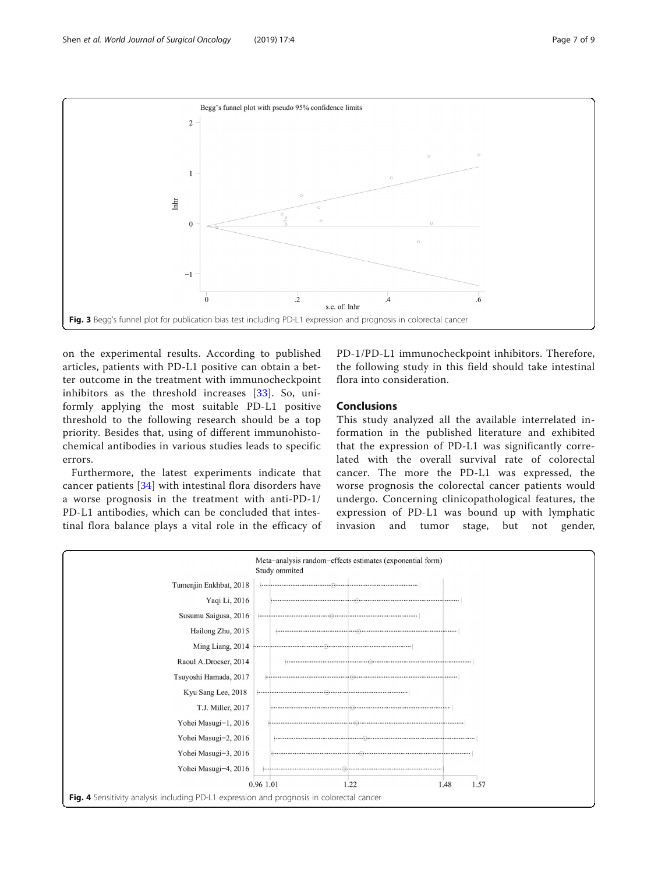<span id="page-6-0"></span>

on the experimental results. According to published articles, patients with PD-L1 positive can obtain a better outcome in the treatment with immunocheckpoint inhibitors as the threshold increases [\[33\]](#page-8-0). So, uniformly applying the most suitable PD-L1 positive threshold to the following research should be a top priority. Besides that, using of different immunohistochemical antibodies in various studies leads to specific errors.

Furthermore, the latest experiments indicate that cancer patients [\[34](#page-8-0)] with intestinal flora disorders have a worse prognosis in the treatment with anti-PD-1/ PD-L1 antibodies, which can be concluded that intestinal flora balance plays a vital role in the efficacy of

PD-1/PD-L1 immunocheckpoint inhibitors. Therefore, the following study in this field should take intestinal flora into consideration.

# Conclusions

This study analyzed all the available interrelated information in the published literature and exhibited that the expression of PD-L1 was significantly correlated with the overall survival rate of colorectal cancer. The more the PD-L1 was expressed, the worse prognosis the colorectal cancer patients would undergo. Concerning clinicopathological features, the expression of PD-L1 was bound up with lymphatic invasion and tumor stage, but not gender,

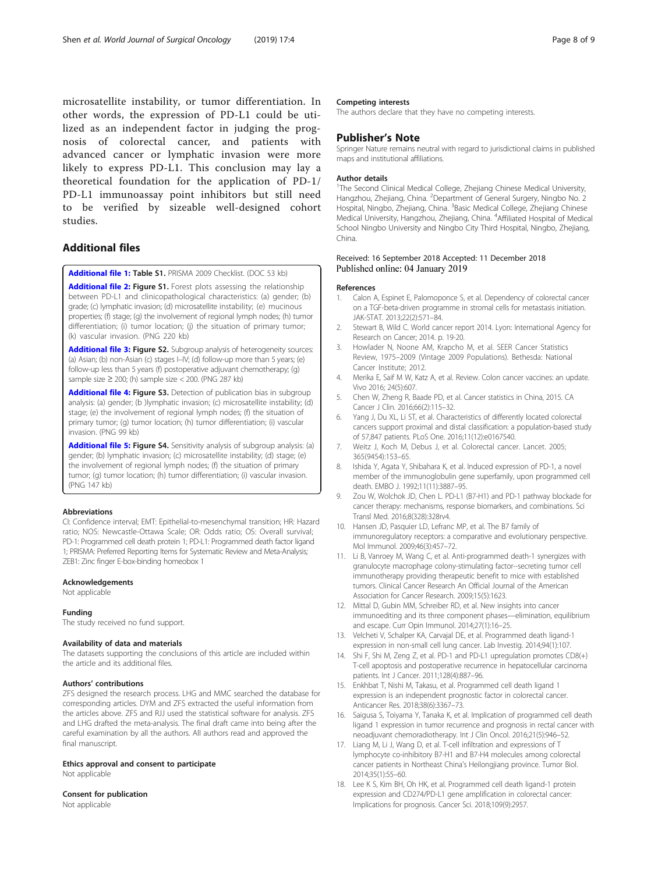<span id="page-7-0"></span>microsatellite instability, or tumor differentiation. In other words, the expression of PD-L1 could be utilized as an independent factor in judging the prognosis of colorectal cancer, and patients with advanced cancer or lymphatic invasion were more likely to express PD-L1. This conclusion may lay a theoretical foundation for the application of PD-1/ PD-L1 immunoassay point inhibitors but still need to be verified by sizeable well-designed cohort studies.

# Additional files

[Additional file 1:](https://doi.org/10.1186/s12957-018-1544-x) Table S1. PRISMA 2009 Checklist. (DOC 53 kb)

[Additional file 2:](https://doi.org/10.1186/s12957-018-1544-x) Figure S1. Forest plots assessing the relationship between PD-L1 and clinicopathological characteristics: (a) gender; (b) grade; (c) lymphatic invasion; (d) microsatellite instability; (e) mucinous properties; (f) stage; (g) the involvement of regional lymph nodes; (h) tumor differentiation; (i) tumor location; (j) the situation of primary tumor; (k) vascular invasion. (PNG 220 kb)

[Additional file 3:](https://doi.org/10.1186/s12957-018-1544-x) Figure S2. Subgroup analysis of heterogeneity sources: (a) Asian; (b) non-Asian (c) stages I–IV; (d) follow-up more than 5 years; (e) follow-up less than 5 years (f) postoperative adjuvant chemotherapy; (g) sample size ≥ 200; (h) sample size < 200. (PNG 287 kb)

[Additional file 4:](https://doi.org/10.1186/s12957-018-1544-x) Figure S3. Detection of publication bias in subgroup analysis: (a) gender; (b )lymphatic invasion; (c) microsatellite instability; (d) stage; (e) the involvement of regional lymph nodes; (f) the situation of primary tumor; (g) tumor location; (h) tumor differentiation; (i) vascular invasion. (PNG 99 kb)

[Additional file 5:](https://doi.org/10.1186/s12957-018-1544-x) Figure S4. Sensitivity analysis of subgroup analysis: (a) gender; (b) lymphatic invasion; (c) microsatellite instability; (d) stage; (e) the involvement of regional lymph nodes; (f) the situation of primary tumor; (g) tumor location; (h) tumor differentiation; (i) vascular invasion. (PNG 147 kb)

#### Abbreviations

CI: Confidence interval; EMT: Epithelial-to-mesenchymal transition; HR: Hazard ratio; NOS: Newcastle-Ottawa Scale; OR: Odds ratio; OS: Overall survival; PD-1: Programmed cell death protein 1; PD-L1: Programmed death factor ligand 1; PRISMA: Preferred Reporting Items for Systematic Review and Meta-Analysis; ZEB1: Zinc finger E-box-binding homeobox 1

### Acknowledgements

Not applicable

#### Funding

The study received no fund support.

#### Availability of data and materials

The datasets supporting the conclusions of this article are included within the article and its additional files.

#### Authors' contributions

ZFS designed the research process. LHG and MMC searched the database for corresponding articles. DYM and ZFS extracted the useful information from the articles above. ZFS and RJJ used the statistical software for analysis. ZFS and LHG drafted the meta-analysis. The final draft came into being after the careful examination by all the authors. All authors read and approved the final manuscript.

Ethics approval and consent to participate Not applicable

## Consent for publication

Not applicable

# Competing interests

The authors declare that they have no competing interests.

# Publisher's Note

Springer Nature remains neutral with regard to jurisdictional claims in published maps and institutional affiliations.

#### Author details

<sup>1</sup>The Second Clinical Medical College, Zhejiang Chinese Medical University, Hangzhou, Zhejiang, China. <sup>2</sup>Department of General Surgery, Ningbo No. 2 Hospital, Ningbo, Zhejiang, China. <sup>3</sup>Basic Medical College, Zhejiang Chinese Medical University, Hangzhou, Zhejiang, China. <sup>4</sup> Affiliated Hospital of Medical School Ningbo University and Ningbo City Third Hospital, Ningbo, Zhejiang, China.

# Received: 16 September 2018 Accepted: 11 December 2018 Published online: 04 January 2019

#### References

- 1. Calon A, Espinet E, Palomoponce S, et al. Dependency of colorectal cancer on a TGF-beta-driven programme in stromal cells for metastasis initiation. JAK-STAT. 2013;22(2):571–84.
- 2. Stewart B, Wild C. World cancer report 2014. Lyon: International Agency for Research on Cancer; 2014. p. 19-20.
- 3. Howlader N, Noone AM, Krapcho M, et al. SEER Cancer Statistics Review, 1975–2009 (Vintage 2009 Populations). Bethesda: National Cancer Institute; 2012.
- 4. Merika E, Saif M W, Katz A, et al. Review. Colon cancer vaccines: an update. Vivo 2016; 24(5):607.
- 5. Chen W, Zheng R, Baade PD, et al. Cancer statistics in China, 2015. CA Cancer J Clin. 2016;66(2):115–32.
- 6. Yang J, Du XL, Li ST, et al. Characteristics of differently located colorectal cancers support proximal and distal classification: a population-based study of 57,847 patients. PLoS One. 2016;11(12):e0167540.
- 7. Weitz J, Koch M, Debus J, et al. Colorectal cancer. Lancet. 2005; 365(9454):153–65.
- 8. Ishida Y, Agata Y, Shibahara K, et al. Induced expression of PD-1, a novel member of the immunoglobulin gene superfamily, upon programmed cell death. EMBO J. 1992;11(11):3887–95.
- 9. Zou W, Wolchok JD, Chen L. PD-L1 (B7-H1) and PD-1 pathway blockade for cancer therapy: mechanisms, response biomarkers, and combinations. Sci Transl Med. 2016;8(328):328rv4.
- 10. Hansen JD, Pasquier LD, Lefranc MP, et al. The B7 family of immunoregulatory receptors: a comparative and evolutionary perspective. Mol Immunol. 2009;46(3):457–72.
- 11. Li B, Vanroey M, Wang C, et al. Anti-programmed death-1 synergizes with granulocyte macrophage colony-stimulating factor--secreting tumor cell immunotherapy providing therapeutic benefit to mice with established tumors. Clinical Cancer Research An Official Journal of the American Association for Cancer Research. 2009;15(5):1623.
- 12. Mittal D, Gubin MM, Schreiber RD, et al. New insights into cancer immunoediting and its three component phases—elimination, equilibrium and escape. Curr Opin Immunol. 2014;27(1):16–25.
- 13. Velcheti V, Schalper KA, Carvajal DE, et al. Programmed death ligand-1 expression in non-small cell lung cancer. Lab Investig. 2014;94(1):107.
- 14. Shi F, Shi M, Zeng Z, et al. PD-1 and PD-L1 upregulation promotes CD8(+) T-cell apoptosis and postoperative recurrence in hepatocellular carcinoma patients. Int J Cancer. 2011;128(4):887–96.
- 15. Enkhbat T, Nishi M, Takasu, et al. Programmed cell death ligand 1 expression is an independent prognostic factor in colorectal cancer. Anticancer Res. 2018;38(6):3367–73.
- 16. Saigusa S, Toiyama Y, Tanaka K, et al. Implication of programmed cell death ligand 1 expression in tumor recurrence and prognosis in rectal cancer with neoadjuvant chemoradiotherapy. Int J Clin Oncol. 2016;21(5):946–52.
- 17. Liang M, Li J, Wang D, et al. T-cell infiltration and expressions of T lymphocyte co-inhibitory B7-H1 and B7-H4 molecules among colorectal cancer patients in Northeast China's Heilongjiang province. Tumor Biol. 2014;35(1):55–60.
- 18. Lee K S, Kim BH, Oh HK, et al. Programmed cell death ligand-1 protein expression and CD274/PD-L1 gene amplification in colorectal cancer: Implications for prognosis. Cancer Sci. 2018;109(9):2957.